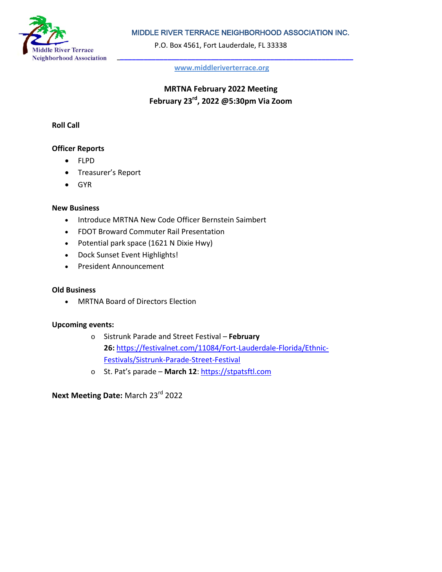

# MIDDLE RIVER TERRACE NEIGHBORHOOD ASSOCIATION INC.

P.O. Box 4561, Fort Lauderdale, FL 33338

**[www.middleriverterrace.org](about:blank)**

**MRTNA February 2022 Meeting February 23rd, 2022 @5:30pm Via Zoom**

### **Roll Call**

### **Officer Reports**

- FLPD
- Treasurer's Report
- GYR

### **New Business**

- Introduce MRTNA New Code Officer Bernstein Saimbert
- FDOT Broward Commuter Rail Presentation
- Potential park space (1621 N Dixie Hwy)
- Dock Sunset Event Highlights!
- President Announcement

### **Old Business**

• MRTNA Board of Directors Election

### **Upcoming events:**

- o Sistrunk Parade and Street Festival **February 26:** [https://festivalnet.com/11084/Fort-Lauderdale-Florida/Ethnic-](about:blank)[Festivals/Sistrunk-Parade-Street-Festival](about:blank)
- o St. Pat's parade **March 12**: [https://stpatsftl.com](about:blank)

**Next Meeting Date:** March 23rd 2022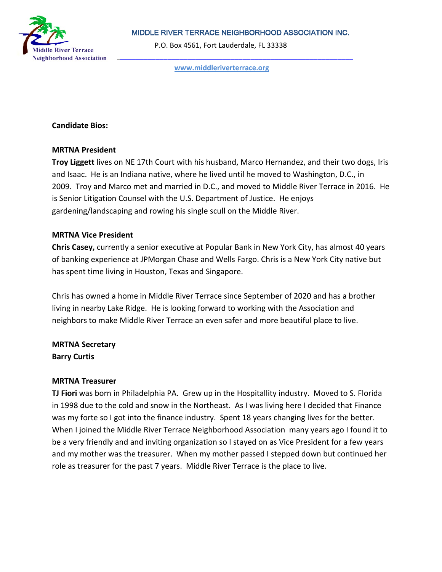

# MIDDLE RIVER TERRACE NEIGHBORHOOD ASSOCIATION INC.

P.O. Box 4561, Fort Lauderdale, FL 33338

**[www.middleriverterrace.org](about:blank)**

## **Candidate Bios:**

### **MRTNA President**

**Troy Liggett** lives on NE 17th Court with his husband, Marco Hernandez, and their two dogs, Iris and Isaac. He is an Indiana native, where he lived until he moved to Washington, D.C., in 2009. Troy and Marco met and married in D.C., and moved to Middle River Terrace in 2016. He is Senior Litigation Counsel with the U.S. Department of Justice. He enjoys gardening/landscaping and rowing his single scull on the Middle River.

# **MRTNA Vice President**

**Chris Casey,** currently a senior executive at Popular Bank in New York City, has almost 40 years of banking experience at JPMorgan Chase and Wells Fargo. Chris is a New York City native but has spent time living in Houston, Texas and Singapore.

Chris has owned a home in Middle River Terrace since September of 2020 and has a brother living in nearby Lake Ridge. He is looking forward to working with the Association and neighbors to make Middle River Terrace an even safer and more beautiful place to live.

**MRTNA Secretary Barry Curtis**

### **MRTNA Treasurer**

**TJ Fiori** was born in Philadelphia PA. Grew up in the Hospitallity industry. Moved to S. Florida in 1998 due to the cold and snow in the Northeast. As I was living here I decided that Finance was my forte so I got into the finance industry. Spent 18 years changing lives for the better. When I joined the Middle River Terrace Neighborhood Association many years ago I found it to be a very friendly and and inviting organization so I stayed on as Vice President for a few years and my mother was the treasurer. When my mother passed I stepped down but continued her role as treasurer for the past 7 years. Middle River Terrace is the place to live.